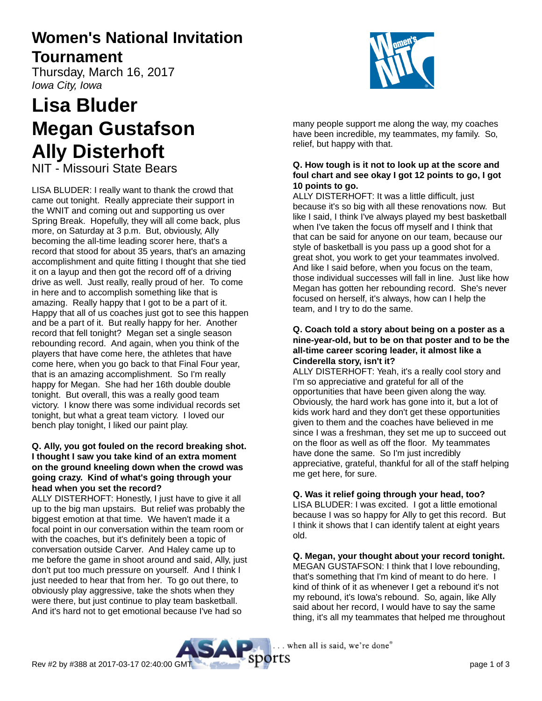## **Women's National Invitation**

### **Tournament**

Thursday, March 16, 2017 Iowa City, Iowa

# **Lisa Bluder Megan Gustafson Ally Disterhoft**

NIT - Missouri State Bears

LISA BLUDER: I really want to thank the crowd that came out tonight. Really appreciate their support in the WNIT and coming out and supporting us over Spring Break. Hopefully, they will all come back, plus more, on Saturday at 3 p.m. But, obviously, Ally becoming the all-time leading scorer here, that's a record that stood for about 35 years, that's an amazing accomplishment and quite fitting I thought that she tied it on a layup and then got the record off of a driving drive as well. Just really, really proud of her. To come in here and to accomplish something like that is amazing. Really happy that I got to be a part of it. Happy that all of us coaches just got to see this happen and be a part of it. But really happy for her. Another record that fell tonight? Megan set a single season rebounding record. And again, when you think of the players that have come here, the athletes that have come here, when you go back to that Final Four year, that is an amazing accomplishment. So I'm really happy for Megan. She had her 16th double double tonight. But overall, this was a really good team victory. I know there was some individual records set tonight, but what a great team victory. I loved our bench play tonight, I liked our paint play.

#### **Q. Ally, you got fouled on the record breaking shot. I thought I saw you take kind of an extra moment on the ground kneeling down when the crowd was going crazy. Kind of what's going through your head when you set the record?**

ALLY DISTERHOFT: Honestly, I just have to give it all up to the big man upstairs. But relief was probably the biggest emotion at that time. We haven't made it a focal point in our conversation within the team room or with the coaches, but it's definitely been a topic of conversation outside Carver. And Haley came up to me before the game in shoot around and said, Ally, just don't put too much pressure on yourself. And I think I just needed to hear that from her. To go out there, to obviously play aggressive, take the shots when they were there, but just continue to play team basketball. And it's hard not to get emotional because I've had so



many people support me along the way, my coaches have been incredible, my teammates, my family. So, relief, but happy with that.

#### **Q. How tough is it not to look up at the score and foul chart and see okay I got 12 points to go, I got 10 points to go.**

ALLY DISTERHOFT: It was a little difficult, just because it's so big with all these renovations now. But like I said, I think I've always played my best basketball when I've taken the focus off myself and I think that that can be said for anyone on our team, because our style of basketball is you pass up a good shot for a great shot, you work to get your teammates involved. And like I said before, when you focus on the team, those individual successes will fall in line. Just like how Megan has gotten her rebounding record. She's never focused on herself, it's always, how can I help the team, and I try to do the same.

#### **Q. Coach told a story about being on a poster as a nine-year-old, but to be on that poster and to be the all-time career scoring leader, it almost like a Cinderella story, isn't it?**

ALLY DISTERHOFT: Yeah, it's a really cool story and I'm so appreciative and grateful for all of the opportunities that have been given along the way. Obviously, the hard work has gone into it, but a lot of kids work hard and they don't get these opportunities given to them and the coaches have believed in me since I was a freshman, they set me up to succeed out on the floor as well as off the floor. My teammates have done the same. So I'm just incredibly appreciative, grateful, thankful for all of the staff helping me get here, for sure.

#### **Q. Was it relief going through your head, too?**

LISA BLUDER: I was excited. I got a little emotional because I was so happy for Ally to get this record. But I think it shows that I can identify talent at eight years old.

#### **Q. Megan, your thought about your record tonight.**

MEGAN GUSTAFSON: I think that I love rebounding, that's something that I'm kind of meant to do here. I kind of think of it as whenever I get a rebound it's not my rebound, it's Iowa's rebound. So, again, like Ally said about her record, I would have to say the same thing, it's all my teammates that helped me throughout

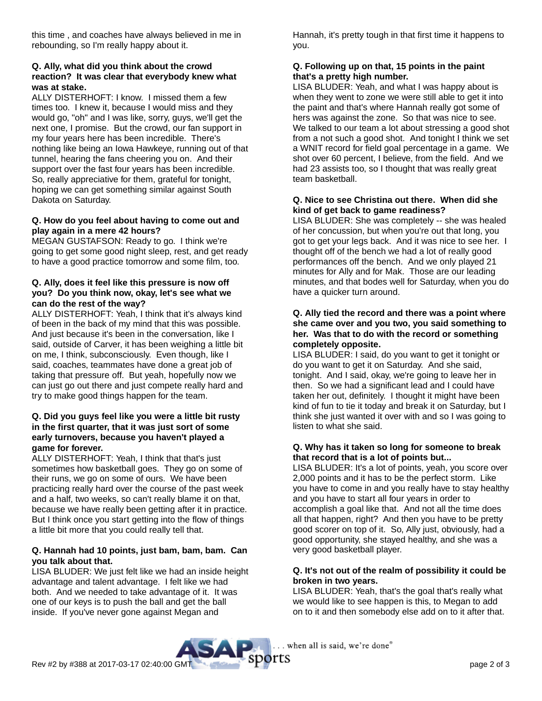this time , and coaches have always believed in me in rebounding, so I'm really happy about it.

#### **Q. Ally, what did you think about the crowd reaction? It was clear that everybody knew what was at stake.**

ALLY DISTERHOFT: I know. I missed them a few times too. I knew it, because I would miss and they would go, "oh" and I was like, sorry, guys, we'll get the next one, I promise. But the crowd, our fan support in my four years here has been incredible. There's nothing like being an Iowa Hawkeye, running out of that tunnel, hearing the fans cheering you on. And their support over the fast four years has been incredible. So, really appreciative for them, grateful for tonight, hoping we can get something similar against South Dakota on Saturday.

#### **Q. How do you feel about having to come out and play again in a mere 42 hours?**

MEGAN GUSTAFSON: Ready to go. I think we're going to get some good night sleep, rest, and get ready to have a good practice tomorrow and some film, too.

#### **Q. Ally, does it feel like this pressure is now off you? Do you think now, okay, let's see what we can do the rest of the way?**

ALLY DISTERHOFT: Yeah, I think that it's always kind of been in the back of my mind that this was possible. And just because it's been in the conversation, like I said, outside of Carver, it has been weighing a little bit on me, I think, subconsciously. Even though, like I said, coaches, teammates have done a great job of taking that pressure off. But yeah, hopefully now we can just go out there and just compete really hard and try to make good things happen for the team.

#### **Q. Did you guys feel like you were a little bit rusty in the first quarter, that it was just sort of some early turnovers, because you haven't played a game for forever.**

ALLY DISTERHOFT: Yeah, I think that that's just sometimes how basketball goes. They go on some of their runs, we go on some of ours. We have been practicing really hard over the course of the past week and a half, two weeks, so can't really blame it on that, because we have really been getting after it in practice. But I think once you start getting into the flow of things a little bit more that you could really tell that.

#### **Q. Hannah had 10 points, just bam, bam, bam. Can you talk about that.**

LISA BLUDER: We just felt like we had an inside height advantage and talent advantage. I felt like we had both. And we needed to take advantage of it. It was one of our keys is to push the ball and get the ball inside. If you've never gone against Megan and

Hannah, it's pretty tough in that first time it happens to you.

#### **Q. Following up on that, 15 points in the paint that's a pretty high number.**

LISA BLUDER: Yeah, and what I was happy about is when they went to zone we were still able to get it into the paint and that's where Hannah really got some of hers was against the zone. So that was nice to see. We talked to our team a lot about stressing a good shot from a not such a good shot. And tonight I think we set a WNIT record for field goal percentage in a game. We shot over 60 percent, I believe, from the field. And we had 23 assists too, so I thought that was really great team basketball.

#### **Q. Nice to see Christina out there. When did she kind of get back to game readiness?**

LISA BLUDER: She was completely -- she was healed of her concussion, but when you're out that long, you got to get your legs back. And it was nice to see her. I thought off of the bench we had a lot of really good performances off the bench. And we only played 21 minutes for Ally and for Mak. Those are our leading minutes, and that bodes well for Saturday, when you do have a quicker turn around.

#### **Q. Ally tied the record and there was a point where she came over and you two, you said something to her. Was that to do with the record or something completely opposite.**

LISA BLUDER: I said, do you want to get it tonight or do you want to get it on Saturday. And she said, tonight. And I said, okay, we're going to leave her in then. So we had a significant lead and I could have taken her out, definitely. I thought it might have been kind of fun to tie it today and break it on Saturday, but I think she just wanted it over with and so I was going to listen to what she said.

#### **Q. Why has it taken so long for someone to break that record that is a lot of points but...**

LISA BLUDER: It's a lot of points, yeah, you score over 2,000 points and it has to be the perfect storm. Like you have to come in and you really have to stay healthy and you have to start all four years in order to accomplish a goal like that. And not all the time does all that happen, right? And then you have to be pretty good scorer on top of it. So, Ally just, obviously, had a good opportunity, she stayed healthy, and she was a very good basketball player.

#### **Q. It's not out of the realm of possibility it could be broken in two years.**

LISA BLUDER: Yeah, that's the goal that's really what we would like to see happen is this, to Megan to add on to it and then somebody else add on to it after that.

. when all is said, we're done"